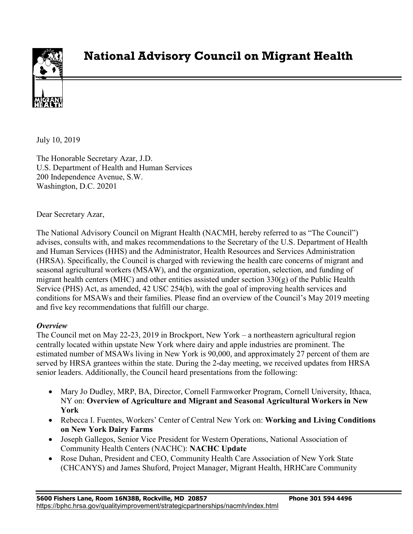

# **National Advisory Council on Migrant Health**

July 10, 2019

The Honorable Secretary Azar, J.D. U.S. Department of Health and Human Services 200 Independence Avenue, S.W. Washington, D.C. 20201

Dear Secretary Azar,

The National Advisory Council on Migrant Health (NACMH, hereby referred to as "The Council") advises, consults with, and makes recommendations to the Secretary of the U.S. Department of Health and Human Services (HHS) and the Administrator, Health Resources and Services Administration (HRSA). Specifically, the Council is charged with reviewing the health care concerns of migrant and seasonal agricultural workers (MSAW), and the organization, operation, selection, and funding of migrant health centers (MHC) and other entities assisted under section  $330(g)$  of the Public Health Service (PHS) Act, as amended, 42 USC 254(b), with the goal of improving health services and conditions for MSAWs and their families. Please find an overview of the Council's May 2019 meeting and five key recommendations that fulfill our charge.

## *Overview*

The Council met on May 22-23, 2019 in Brockport, New York – a northeastern agricultural region centrally located within upstate New York where dairy and apple industries are prominent. The estimated number of MSAWs living in New York is 90,000, and approximately 27 percent of them are served by HRSA grantees within the state. During the 2-day meeting, we received updates from HRSA senior leaders. Additionally, the Council heard presentations from the following:

- Mary Jo Dudley, MRP, BA, Director, Cornell Farmworker Program, Cornell University, Ithaca, NY on: **Overview of Agriculture and Migrant and Seasonal Agricultural Workers in New York**
- Rebecca I. Fuentes, Workers' Center of Central New York on: **Working and Living Conditions on New York Dairy Farms**
- Joseph Gallegos, Senior Vice President for Western Operations, National Association of Community Health Centers (NACHC): **NACHC Update**
- Rose Duhan, President and CEO, Community Health Care Association of New York State (CHCANYS) and James Shuford, Project Manager, Migrant Health, HRHCare Community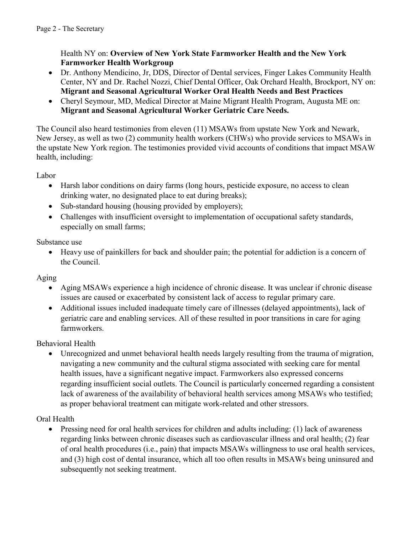Health NY on: **Overview of New York State Farmworker Health and the New York Farmworker Health Workgroup**

- Dr. Anthony Mendicino, Jr, DDS, Director of Dental services, Finger Lakes Community Health Center, NY and Dr. Rachel Nozzi, Chief Dental Officer, Oak Orchard Health, Brockport, NY on: **Migrant and Seasonal Agricultural Worker Oral Health Needs and Best Practices**
- Cheryl Seymour, MD, Medical Director at Maine Migrant Health Program, Augusta ME on: **Migrant and Seasonal Agricultural Worker Geriatric Care Needs.**

The Council also heard testimonies from eleven (11) MSAWs from upstate New York and Newark, New Jersey, as well as two (2) community health workers (CHWs) who provide services to MSAWs in the upstate New York region. The testimonies provided vivid accounts of conditions that impact MSAW health, including:

Labor

- Harsh labor conditions on dairy farms (long hours, pesticide exposure, no access to clean drinking water, no designated place to eat during breaks);
- Sub-standard housing (housing provided by employers);
- Challenges with insufficient oversight to implementation of occupational safety standards, especially on small farms;

Substance use

• Heavy use of painkillers for back and shoulder pain; the potential for addiction is a concern of the Council.

Aging

- Aging MSAWs experience a high incidence of chronic disease. It was unclear if chronic disease issues are caused or exacerbated by consistent lack of access to regular primary care.
- Additional issues included inadequate timely care of illnesses (delayed appointments), lack of geriatric care and enabling services. All of these resulted in poor transitions in care for aging farmworkers.

Behavioral Health

• Unrecognized and unmet behavioral health needs largely resulting from the trauma of migration, navigating a new community and the cultural stigma associated with seeking care for mental health issues, have a significant negative impact. Farmworkers also expressed concerns regarding insufficient social outlets. The Council is particularly concerned regarding a consistent lack of awareness of the availability of behavioral health services among MSAWs who testified; as proper behavioral treatment can mitigate work-related and other stressors.

Oral Health

• Pressing need for oral health services for children and adults including: (1) lack of awareness regarding links between chronic diseases such as cardiovascular illness and oral health; (2) fear of oral health procedures (i.e., pain) that impacts MSAWs willingness to use oral health services, and (3) high cost of dental insurance, which all too often results in MSAWs being uninsured and subsequently not seeking treatment.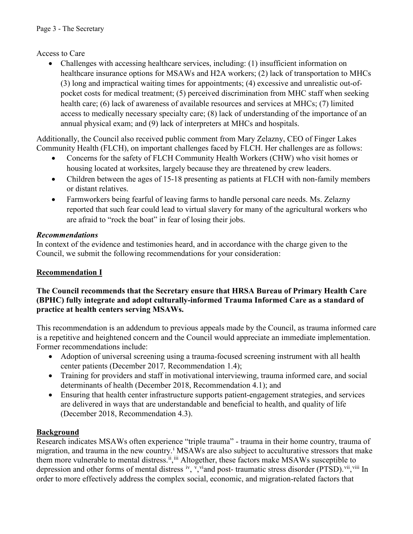## Access to Care

• Challenges with accessing healthcare services, including: (1) insufficient information on healthcare insurance options for MSAWs and H2A workers; (2) lack of transportation to MHCs (3) long and impractical waiting times for appointments; (4) excessive and unrealistic out-ofpocket costs for medical treatment; (5) perceived discrimination from MHC staff when seeking health care; (6) lack of awareness of available resources and services at MHCs; (7) limited access to medically necessary specialty care; (8) lack of understanding of the importance of an annual physical exam; and (9) lack of interpreters at MHCs and hospitals.

Additionally, the Council also received public comment from Mary Zelazny, CEO of Finger Lakes Community Health (FLCH), on important challenges faced by FLCH. Her challenges are as follows:

- Concerns for the safety of FLCH Community Health Workers (CHW) who visit homes or housing located at worksites, largely because they are threatened by crew leaders.
- Children between the ages of 15-18 presenting as patients at FLCH with non-family members or distant relatives.
- Farmworkers being fearful of leaving farms to handle personal care needs. Ms. Zelazny reported that such fear could lead to virtual slavery for many of the agricultural workers who are afraid to "rock the boat" in fear of losing their jobs.

## *Recommendations*

In context of the evidence and testimonies heard, and in accordance with the charge given to the Council, we submit the following recommendations for your consideration:

# **Recommendation I**

## **The Council recommends that the Secretary ensure that HRSA Bureau of Primary Health Care (BPHC) fully integrate and adopt culturally-informed Trauma Informed Care as a standard of practice at health centers serving MSAWs.**

This recommendation is an addendum to previous appeals made by the Council, as trauma informed care is a repetitive and heightened concern and the Council would appreciate an immediate implementation. Former recommendations include:

- Adoption of universal screening using a trauma-focused screening instrument with all health center patients (December 2017*,* Recommendation 1.4);
- Training for providers and staff in motivational interviewing, trauma informed care, and social determinants of health (December 2018, Recommendation 4.1); and
- Ensuring that health center infrastructure supports patient-engagement strategies, and services are delivered in ways that are understandable and beneficial to health, and quality of life (December 2018, Recommendation 4.3).

# **Background**

Research indicates MSAWs often experience "triple trauma" - trauma in their home country, trauma of migration, and trauma in the new country.<sup>1</sup> MSAWs are also subject to acculturative stressors that make them more vulnerable to mental distress.<sup>ii</sup>, iii Altogether, these factors make MSAWs susceptible to depression and other forms of mental distress iv, y viand post-traumatic stress disorder (PTSD). Vii, Viii In order to more effectively address the complex social, economic, and migration-related factors that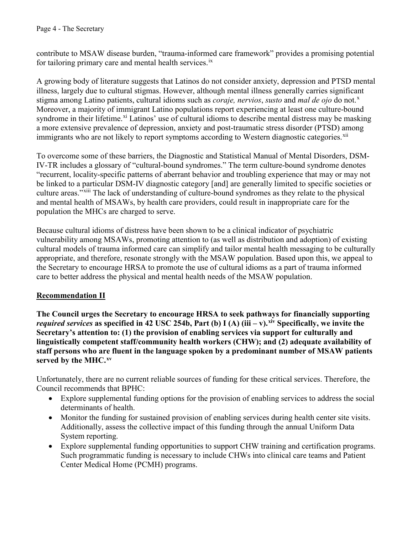contribute to MSAW disease burden, "trauma-informed care framework" provides a promising potential for tailoring primary care and mental health services.<sup>ix</sup>

A growing body of literature suggests that Latinos do not consider anxiety, depression and PTSD mental illness, largely due to cultural stigmas. However, although mental illness generally carries significant stigma among Latino patients, cultural idioms such as *coraje, nervios, susto* and *mal de ojo* do not.<sup>x</sup> Moreover, a majority of immigrant Latino populations report experiencing at least one culture-bound syndrome in their lifetime.<sup>xi</sup> Latinos' use of cultural idioms to describe mental distress may be masking a more extensive prevalence of depression, anxiety and post-traumatic stress disorder (PTSD) among immigrants who are not likely to report symptoms according to Western diagnostic categories.<sup>xii</sup>

To overcome some of these barriers, the Diagnostic and Statistical Manual of Mental Disorders, DSM-IV-TR includes a glossary of "cultural-bound syndromes." The term culture-bound syndrome denotes "recurrent, locality-specific patterns of aberrant behavior and troubling experience that may or may not be linked to a particular DSM-IV diagnostic category [and] are generally limited to specific societies or culture areas."xiii The lack of understanding of culture-bound syndromes as they relate to the physical and mental health of MSAWs, by health care providers, could result in inappropriate care for the population the MHCs are charged to serve.

Because cultural idioms of distress have been shown to be a clinical indicator of psychiatric vulnerability among MSAWs, promoting attention to (as well as distribution and adoption) of existing cultural models of trauma informed care can simplify and tailor mental health messaging to be culturally appropriate, and therefore, resonate strongly with the MSAW population. Based upon this, we appeal to the Secretary to encourage HRSA to promote the use of cultural idioms as a part of trauma informed care to better address the physical and mental health needs of the MSAW population.

## **Recommendation II**

**The Council urges the Secretary to encourage HRSA to seek pathways for financially supporting**  *required services* as specified in 42 USC 254b, Part (b) I (A) (iii – v). xiv Specifically, we invite the **Secretary's attention to: (1) the provision of enabling services via support for culturally and linguistically competent staff/community health workers (CHW); and (2) adequate availability of staff persons who are fluent in the language spoken by a predominant number of MSAW patients served by the MHC. xv**

Unfortunately, there are no current reliable sources of funding for these critical services. Therefore, the Council recommends that BPHC:

- Explore supplemental funding options for the provision of enabling services to address the social determinants of health.
- Monitor the funding for sustained provision of enabling services during health center site visits. Additionally, assess the collective impact of this funding through the annual Uniform Data System reporting.
- Explore supplemental funding opportunities to support CHW training and certification programs. Such programmatic funding is necessary to include CHWs into clinical care teams and Patient Center Medical Home (PCMH) programs.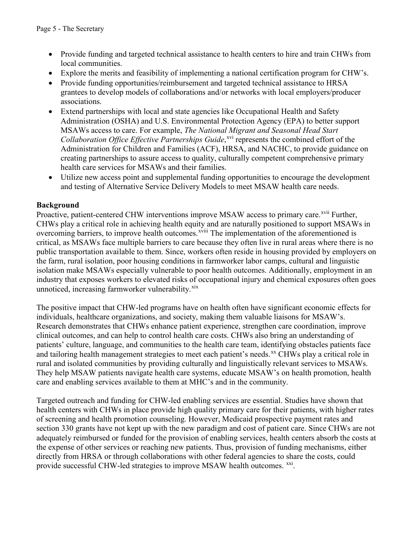- Provide funding and targeted technical assistance to health centers to hire and train CHWs from local communities.
- Explore the merits and feasibility of implementing a national certification program for CHW's.
- Provide funding opportunities/reimbursement and targeted technical assistance to HRSA grantees to develop models of collaborations and/or networks with local employers/producer associations.
- Extend partnerships with local and state agencies like Occupational Health and Safety Administration (OSHA) and U.S. Environmental Protection Agency (EPA) to better support MSAWs access to care. For example, *The National Migrant and Seasonal Head Start*  Collaboration Office Effective Partnerships Guide,<sup>xvi</sup> represents the combined effort of the Administration for Children and Families (ACF), HRSA, and NACHC, to provide guidance on creating partnerships to assure access to quality, culturally competent comprehensive primary health care services for MSAWs and their families.
- Utilize new access point and supplemental funding opportunities to encourage the development and testing of Alternative Service Delivery Models to meet MSAW health care needs.

## **Background**

Proactive, patient-centered CHW interventions improve MSAW access to primary care.<sup>xvii</sup> Further, overcoming barriers, to improve health outcomes. XVIII The implementation of the aforementioned is CHWs play a critical role in achieving health equity and are naturally positioned to support MSAWs in critical, as MSAWs face multiple barriers to care because they often live in rural areas where there is no public transportation available to them. Since, workers often reside in housing provided by employers on the farm, rural isolation, poor housing conditions in farmworker labor camps, cultural and linguistic isolation make MSAWs especially vulnerable to poor health outcomes. Additionally, employment in an industry that exposes workers to elevated risks of occupational injury and chemical exposures often goes unnoticed, increasing farmworker vulnerability.<sup>xix</sup>

The positive impact that CHW-led programs have on health often have significant economic effects for individuals, healthcare organizations, and society, making them valuable liaisons for MSAW's. Research demonstrates that CHWs enhance patient experience, strengthen care coordination, improve clinical outcomes, and can help to control health care costs. CHWs also bring an understanding of patients' culture, language, and communities to the health care team, identifying obstacles patients face and tailoring health management strategies to meet each patient's needs.<sup>xx</sup> CHWs play a critical role in rural and isolated communities by providing culturally and linguistically relevant services to MSAWs. They help MSAW patients navigate health care systems, educate MSAW's on health promotion, health care and enabling services available to them at MHC's and in the community.

Targeted outreach and funding for CHW-led enabling services are essential. Studies have shown that health centers with CHWs in place provide high quality primary care for their patients, with higher rates of screening and health promotion counseling. However, Medicaid prospective payment rates and section 330 grants have not kept up with the new paradigm and cost of patient care. Since CHWs are not adequately reimbursed or funded for the provision of enabling services, health centers absorb the costs at the expense of other services or reaching new patients. Thus, provision of funding mechanisms, either directly from HRSA or through collaborations with other federal agencies to share the costs, could provide successful CHW-led strategies to improve MSAW health outcomes. <sup>xxi</sup>.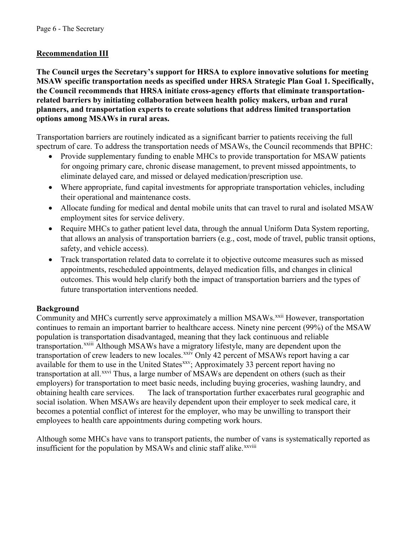## **Recommendation III**

**The Council urges the Secretary's support for HRSA to explore innovative solutions for meeting MSAW specific transportation needs as specified under HRSA Strategic Plan Goal 1. Specifically, the Council recommends that HRSA initiate cross-agency efforts that eliminate transportationrelated barriers by initiating collaboration between health policy makers, urban and rural planners, and transportation experts to create solutions that address limited transportation options among MSAWs in rural areas.** 

Transportation barriers are routinely indicated as a significant barrier to patients receiving the full spectrum of care. To address the transportation needs of MSAWs, the Council recommends that BPHC:

- Provide supplementary funding to enable MHCs to provide transportation for MSAW patients for ongoing primary care, chronic disease management, to prevent missed appointments, to eliminate delayed care, and missed or delayed medication/prescription use.
- Where appropriate, fund capital investments for appropriate transportation vehicles, including their operational and maintenance costs.
- Allocate funding for medical and dental mobile units that can travel to rural and isolated MSAW employment sites for service delivery.
- Require MHCs to gather patient level data, through the annual Uniform Data System reporting, that allows an analysis of transportation barriers (e.g., cost, mode of travel, public transit options, safety, and vehicle access).
- Track transportation related data to correlate it to objective outcome measures such as missed appointments, rescheduled appointments, delayed medication fills, and changes in clinical outcomes. This would help clarify both the impact of transportation barriers and the types of future transportation interventions needed.

## **Background**

Community and MHCs currently serve approximately a million MSAWs.<sup>xxii</sup> However, transportation transportation.<sup>xxiii</sup> Although MSAWs have a migratory lifestyle, many are dependent upon the continues to remain an important barrier to healthcare access. Ninety nine percent (99%) of the MSAW population is transportation disadvantaged, meaning that they lack continuous and reliable transportation of crew leaders to new locales.<sup>xxiv</sup> Only 42 percent of MSAWs report having a car available for them to use in the United States<sup>xxv</sup>; Approximately 33 percent report having no transportation at all.<sup>xxvi</sup> Thus, a large number of MSAWs are dependent on others (such as their employers) for transportation to meet basic needs, including buying groceries, washing laundry, and obtaining health care services. The lack of transportation further exacerbates rural geographic and social isolation. When MSAWs are heavily dependent upon their employer to seek medical care, it becomes a potential conflict of interest for the employer, who may be unwilling to transport their employees to health care appointments during competing work hours.

Although some MHCs have vans to transport patients, the number of vans is systematically reported as insufficient for the population by MSAWs and clinic staff alike.<sup>xxviii</sup>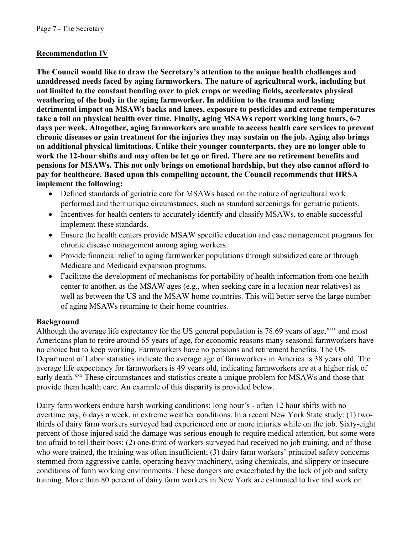## **Recommendation IV**

**The Council would like to draw the Secretary's attention to the unique health challenges and unaddressed needs faced by aging farmworkers. The nature of agricultural work, including but not limited to the constant bending over to pick crops or weeding fields, accelerates physical weathering of the body in the aging farmworker. In addition to the trauma and lasting detrimental impact on MSAWs backs and knees, exposure to pesticides and extreme temperatures take a toll on physical health over time. Finally, aging MSAWs report working long hours, 6-7 days per week. Altogether, aging farmworkers are unable to access health care services to prevent chronic diseases or gain treatment for the injuries they may sustain on the job. Aging also brings on additional physical limitations. Unlike their younger counterparts, they are no longer able to work the 12-hour shifts and may often be let go or fired. There are no retirement benefits and pensions for MSAWs. This not only brings on emotional hardship, but they also cannot afford to pay for healthcare. Based upon this compelling account, the Council recommends that HRSA implement the following:**

- Defined standards of geriatric care for MSAWs based on the nature of agricultural work performed and their unique circumstances, such as standard screenings for geriatric patients.
- Incentives for health centers to accurately identify and classify MSAWs, to enable successful implement these standards.
- Ensure the health centers provide MSAW specific education and case management programs for chronic disease management among aging workers.
- Provide financial relief to aging farmworker populations through subsidized care or through Medicare and Medicaid expansion programs.
- Facilitate the development of mechanisms for portability of health information from one health center to another, as the MSAW ages (e.g., when seeking care in a location near relatives) as well as between the US and the MSAW home countries. This will better serve the large number of aging MSAWs returning to their home countries.

## **Background**

Although the average life expectancy for the US general population is 78.69 years of age,  $\frac{x}{x}$  and most Americans plan to retire around 65 years of age, for economic reasons many seasonal farmworkers have no choice but to keep working. Farmworkers have no pensions and retirement benefits. The US Department of Labor statistics indicate the average age of farmworkers in America is 38 years old. The average life expectancy for farmworkers is 49 years old, indicating farmworkers are at a higher risk of early death.<sup>xxx</sup> These circumstances and statistics create a unique problem for MSAWs and those that provide them health care. An example of this disparity is provided below.

Dairy farm workers endure harsh working conditions: long hour's - often 12 hour shifts with no overtime pay, 6 days a week, in extreme weather conditions. In a recent New York State study: (1) twothirds of dairy farm workers surveyed had experienced one or more injuries while on the job. Sixty-eight percent of those injured said the damage was serious enough to require medical attention, but some were too afraid to tell their boss; (2) one-third of workers surveyed had received no job training, and of those who were trained, the training was often insufficient; (3) dairy farm workers' principal safety concerns stemmed from aggressive cattle, operating heavy machinery, using chemicals, and slippery or insecure conditions of farm working environments. These dangers are exacerbated by the lack of job and safety training. More than 80 percent of dairy farm workers in New York are estimated to live and work on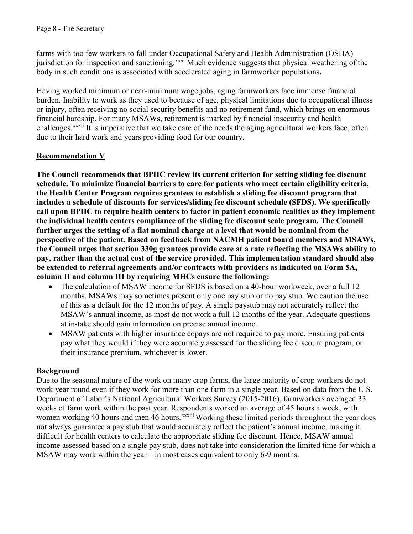farms with too few workers to fall under Occupational Safety and Health Administration (OSHA) jurisdiction for inspection and sanctioning.<sup>xxxi</sup> Much evidence suggests that physical weathering of the body in such conditions is associated with accelerated aging in farmworker populations**.** 

Having worked minimum or near-minimum wage jobs, aging farmworkers face immense financial burden. Inability to work as they used to because of age, physical limitations due to occupational illness or injury, often receiving no social security benefits and no retirement fund, which brings on enormous financial hardship. For many MSAWs, retirement is marked by financial insecurity and health challenges.<sup>xxxii</sup> It is imperative that we take care of the needs the aging agricultural workers face, often due to their hard work and years providing food for our country.

# **Recommendation V**

**The Council recommends that BPHC review its current criterion for setting sliding fee discount schedule. To minimize financial barriers to care for patients who meet certain eligibility criteria, the Health Center Program requires grantees to establish a sliding fee discount program that includes a schedule of discounts for services/sliding fee discount schedule (SFDS). We specifically call upon BPHC to require health centers to factor in patient economic realities as they implement the individual health centers compliance of the sliding fee discount scale program. The Council further urges the setting of a flat nominal charge at a level that would be nominal from the perspective of the patient. Based on feedback from NACMH patient board members and MSAWs, the Council urges that section 330g grantees provide care at a rate reflecting the MSAWs ability to pay, rather than the actual cost of the service provided. This implementation standard should also be extended to referral agreements and/or contracts with providers as indicated on Form 5A, column II and column III by requiring MHCs ensure the following:** 

- The calculation of MSAW income for SFDS is based on a 40-hour workweek, over a full 12 months. MSAWs may sometimes present only one pay stub or no pay stub. We caution the use of this as a default for the 12 months of pay. A single paystub may not accurately reflect the MSAW's annual income, as most do not work a full 12 months of the year. Adequate questions at in-take should gain information on precise annual income.
- MSAW patients with higher insurance copays are not required to pay more. Ensuring patients pay what they would if they were accurately assessed for the sliding fee discount program, or their insurance premium, whichever is lower.

## **Background**

Due to the seasonal nature of the work on many crop farms, the large majority of crop workers do not work year round even if they work for more than one farm in a single year. Based on data from the U.S. Department of Labor's National Agricultural Workers Survey (2015-2016), farmworkers averaged 33 weeks of farm work within the past year. Respondents worked an average of 45 hours a week, with women working 40 hours and men 46 hours.<sup>xxxiii</sup> Working these limited periods throughout the year does not always guarantee a pay stub that would accurately reflect the patient's annual income, making it difficult for health centers to calculate the appropriate sliding fee discount. Hence, MSAW annual income assessed based on a single pay stub, does not take into consideration the limited time for which a MSAW may work within the year – in most cases equivalent to only 6-9 months.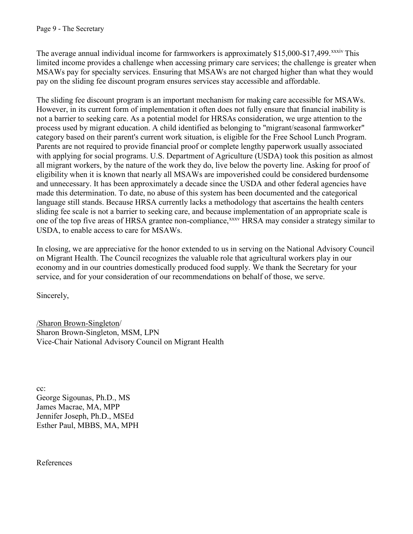The average annual individual income for farmworkers is approximately \$15,000-\$17,499.<sup>xxxiv</sup> This limited income provides a challenge when accessing primary care services; the challenge is greater when MSAWs pay for specialty services. Ensuring that MSAWs are not charged higher than what they would pay on the sliding fee discount program ensures services stay accessible and affordable.

The sliding fee discount program is an important mechanism for making care accessible for MSAWs. However, in its current form of implementation it often does not fully ensure that financial inability is not a barrier to seeking care. As a potential model for HRSAs consideration, we urge attention to the process used by migrant education. A child identified as belonging to "migrant/seasonal farmworker" category based on their parent's current work situation, is eligible for the Free School Lunch Program. Parents are not required to provide financial proof or complete lengthy paperwork usually associated with applying for social programs. U.S. Department of Agriculture (USDA) took this position as almost all migrant workers, by the nature of the work they do, live below the poverty line. Asking for proof of eligibility when it is known that nearly all MSAWs are impoverished could be considered burdensome and unnecessary. It has been approximately a decade since the USDA and other federal agencies have made this determination. To date, no abuse of this system has been documented and the categorical language still stands. Because HRSA currently lacks a methodology that ascertains the health centers sliding fee scale is not a barrier to seeking care, and because implementation of an appropriate scale is one of the top five areas of HRSA grantee non-compliance, xxxv HRSA may consider a strategy similar to USDA, to enable access to care for MSAWs.

In closing, we are appreciative for the honor extended to us in serving on the National Advisory Council on Migrant Health. The Council recognizes the valuable role that agricultural workers play in our economy and in our countries domestically produced food supply. We thank the Secretary for your service, and for your consideration of our recommendations on behalf of those, we serve.

Sincerely,

/Sharon Brown-Singleton/ Sharon Brown-Singleton, MSM, LPN Vice-Chair National Advisory Council on Migrant Health

cc: George Sigounas, Ph.D., MS James Macrae, MA, MPP Jennifer Joseph, Ph.D., MSEd Esther Paul, MBBS, MA, MPH

References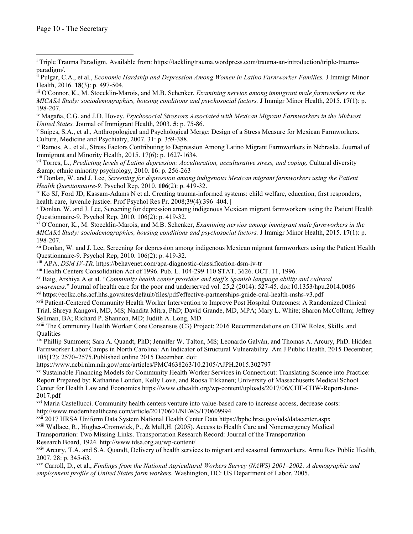iv Magaña, C.G. and J.D. Hovey, *Psychosocial Stressors Associated with Mexican Migrant Farmworkers in the Midwest United States.* Journal of Immigrant Health, 2003. **5**: p. 75-86.

<sup>v</sup> Snipes, S.A., et al., Anthropological and Psychological Merge: Design of a Stress Measure for Mexican Farmworkers. Culture, Medicine and Psychiatry, 2007. 31: p. 359-388.

vi Ramos, A., et al., Stress Factors Contributing to Depression Among Latino Migrant Farmworkers in Nebraska. Journal of Immigrant and Minority Health, 2015. 17(6): p. 1627-1634.

vii Torres, L., *Predicting levels of Latino depression: Acculturation, acculturative stress, and coping.* Cultural diversity & ethnic minority psychology, 2010. **16**: p. 256-263

viii Donlan, W. and J. Lee, *Screening for depression among indigenous Mexican migrant farmworkers using the Patient Health Questionnaire-9.* Psychol Rep, 2010. **106**(2): p. 419-32.

ix Ko SJ, Ford JD, Kassam-Adams N et al. Creating trauma-informed systems: child welfare, education, first responders, health care, juvenile justice. Prof Psychol Res Pr. 2008;39(4):396–404. [

<sup>x</sup> Donlan, W. and J. Lee, Screening for depression among indigenous Mexican migrant farmworkers using the Patient Health Questionnaire-9. Psychol Rep, 2010. 106(2): p. 419-32.

xi O'Connor, K., M. Stoecklin-Marois, and M.B. Schenker, *Examining nervios among immigrant male farmworkers in the MICASA Study: sociodemographics, housing conditions and psychosocial factors.* J Immigr Minor Health, 2015. **17**(1): p. 198-207.

xii Donlan, W. and J. Lee, Screening for depression among indigenous Mexican migrant farmworkers using the Patient Health Questionnaire-9. Psychol Rep, 2010. 106(2): p. 419-32.

xiii APA, *DSM IV-TR.* <https://behavenet.com/apa-diagnostic-classification-dsm-iv-tr>

xiii Health Centers Consolidation Act of 1996. Pub. L. 104-299 110 STAT. 3626. OCT. 11, 1996.

xv Baig, Arshiya A et al. "*Community health center provider and staff's Spanish language ability and cultural* 

*awareness.*" Journal of health care for the poor and underserved vol. 25,2 (2014): 527-45. doi:10.1353/hpu.2014.0086 xvi <https://eclkc.ohs.acf.hhs.gov/sites/default/files/pdf/effective-partnerships-guide-oral-health-mshs-v3.pdf>

xvii Patient-Centered Community Health Worker Intervention to Improve Post Hospital Outcomes: A Randomized Clinical Trial. Shreya Kangovi, MD, MS; Nandita Mitra, PhD; David Grande, MD, MPA; Mary L. White; Sharon McCollum; Jeffrey Sellman, BA; Richard P. Shannon, MD; Judith A. Long, MD.

xviii The Community Health Worker Core Consensus (C3) Project: 2016 Recommendations on CHW Roles, Skills, and **Oualities** 

xix Phillip Summers; Sara A. Quandt, PhD; Jennifer W. Talton, MS; Leonardo Galván, and Thomas A. Arcury, PhD. Hidden Farmworker Labor Camps in North Carolina: An Indicator of Structural Vulnerability. Am J Public Health. 2015 December; 105(12): 2570–2575.Published online 2015 December. doi:

<https://www.ncbi.nlm.nih.gov/pmc/articles/PMC4638263/10.2105/AJPH.2015.302797>

xx Sustainable Financing Models for Community Health Worker Services in Connecticut: Translating Science into Practice: Report Prepared by: Katharine London, Kelly Love, and Roosa Tikkanen; University of Massachusetts Medical School [Center for Health Law and Economics https://www.cthealth.org/wp-content/uploads/2017/06/CHF-CHW-Report-June-](https://www.cthealth.org/wp-content/uploads/2017/06/CHF-CHW-Report-June-2017.pdf)2017.pdf

xxi Maria Castellucci. Community health centers venture into value-based care to increase access, decrease costs: <http://www.modernhealthcare.com/article/20170601/NEWS/170609994>

xxii 2017 HRSA Uniform Data System National Health Center Data<https://bphc.hrsa.gov/uds/datacenter.aspx>

xxiii Wallace, R., Hughes-Cromwick, P., & Mull,H. (2005). Access to Health Care and Nonemergency Medical

Transportation: Two Missing Links. Transportation Research Record: Journal of the Transportation Research Board, 1924.<http://www.tdsa.org.au/wp-content/>

xxiv Arcury, T.A. and S.A. Quandt, Delivery of health services to migrant and seasonal farmworkers. Annu Rev Public Health, 2007. 28: p. 345-63.

xxv Carroll, D., et al., *Findings from the National Agricultural Workers Survey (NAWS) 2001–2002: A demographic and employment profile of United States farm workers.* Washington, DC: US Department of Labor, 2005.

<sup>i</sup> [Triple Trauma Paradigm. Available from: https://tacklingtrauma.wordpress.com/trauma-an-introduction/triple-trauma](https://tacklingtrauma.wordpress.com/trauma-an-introduction/triple-trauma-paradigm/)paradigm/.  $\overline{a}$ 

ii Pulgar, C.A., et al., *Economic Hardship and Depression Among Women in Latino Farmworker Families.* J Immigr Minor Health, 2016. **18**(3): p. 497-504.

iii O'Connor, K., M. Stoecklin-Marois, and M.B. Schenker, *Examining nervios among immigrant male farmworkers in the MICASA Study: sociodemographics, housing conditions and psychosocial factors.* J Immigr Minor Health, 2015. **17**(1): p. 198-207.